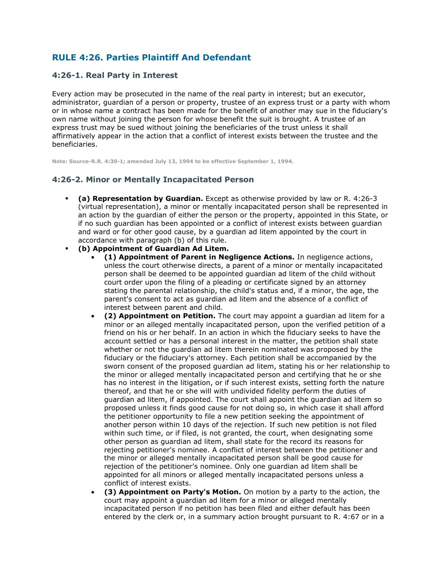# **RULE 4:26. Parties Plaintiff And Defendant**

### **4:26-1. Real Party in Interest**

Every action may be prosecuted in the name of the real party in interest; but an executor, administrator, guardian of a person or property, trustee of an express trust or a party with whom or in whose name a contract has been made for the benefit of another may sue in the fiduciary's own name without joining the person for whose benefit the suit is brought. A trustee of an express trust may be sued without joining the beneficiaries of the trust unless it shall affirmatively appear in the action that a conflict of interest exists between the trustee and the beneficiaries.

**Note: Source-R.R. 4:30-1; amended July 13, 1994 to be effective September 1, 1994.**

### **4:26-2. Minor or Mentally Incapacitated Person**

- **(a) Representation by Guardian.** Except as otherwise provided by law or R. 4:26-3 (virtual representation), a minor or mentally incapacitated person shall be represented in an action by the guardian of either the person or the property, appointed in this State, or if no such guardian has been appointed or a conflict of interest exists between guardian and ward or for other good cause, by a guardian ad litem appointed by the court in accordance with paragraph (b) of this rule.
- **(b) Appointment of Guardian Ad Litem.**
	- **(1) Appointment of Parent in Negligence Actions.** In negligence actions, unless the court otherwise directs, a parent of a minor or mentally incapacitated person shall be deemed to be appointed guardian ad litem of the child without court order upon the filing of a pleading or certificate signed by an attorney stating the parental relationship, the child's status and, if a minor, the age, the parent's consent to act as guardian ad litem and the absence of a conflict of interest between parent and child.
	- **(2) Appointment on Petition.** The court may appoint a guardian ad litem for a minor or an alleged mentally incapacitated person, upon the verified petition of a friend on his or her behalf. In an action in which the fiduciary seeks to have the account settled or has a personal interest in the matter, the petition shall state whether or not the guardian ad litem therein nominated was proposed by the fiduciary or the fiduciary's attorney. Each petition shall be accompanied by the sworn consent of the proposed guardian ad litem, stating his or her relationship to the minor or alleged mentally incapacitated person and certifying that he or she has no interest in the litigation, or if such interest exists, setting forth the nature thereof, and that he or she will with undivided fidelity perform the duties of guardian ad litem, if appointed. The court shall appoint the guardian ad litem so proposed unless it finds good cause for not doing so, in which case it shall afford the petitioner opportunity to file a new petition seeking the appointment of another person within 10 days of the rejection. If such new petition is not filed within such time, or if filed, is not granted, the court, when designating some other person as guardian ad litem, shall state for the record its reasons for rejecting petitioner's nominee. A conflict of interest between the petitioner and the minor or alleged mentally incapacitated person shall be good cause for rejection of the petitioner's nominee. Only one guardian ad litem shall be appointed for all minors or alleged mentally incapacitated persons unless a conflict of interest exists.
	- **(3) Appointment on Party's Motion.** On motion by a party to the action, the court may appoint a guardian ad litem for a minor or alleged mentally incapacitated person if no petition has been filed and either default has been entered by the clerk or, in a summary action brought pursuant to R. 4:67 or in a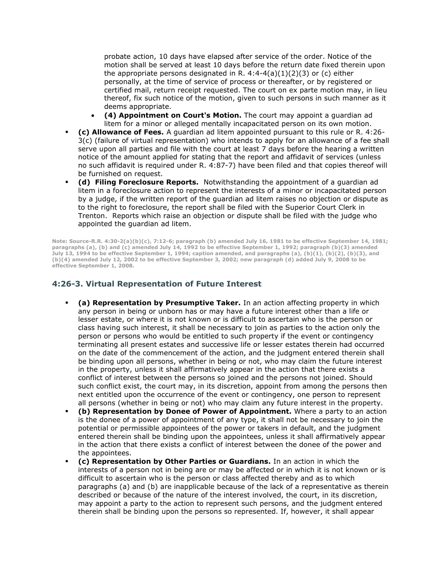probate action, 10 days have elapsed after service of the order. Notice of the motion shall be served at least 10 days before the return date fixed therein upon the appropriate persons designated in R.  $4:4-4(a)(1)(2)(3)$  or (c) either personally, at the time of service of process or thereafter, or by registered or certified mail, return receipt requested. The court on ex parte motion may, in lieu thereof, fix such notice of the motion, given to such persons in such manner as it deems appropriate.

- **(4) Appointment on Court's Motion.** The court may appoint a guardian ad litem for a minor or alleged mentally incapacitated person on its own motion.
- **(c) Allowance of Fees.** A guardian ad litem appointed pursuant to this rule or R. 4:26- 3(c) (failure of virtual representation) who intends to apply for an allowance of a fee shall serve upon all parties and file with the court at least 7 days before the hearing a written notice of the amount applied for stating that the report and affidavit of services (unless no such affidavit is required under R. 4:87-7) have been filed and that copies thereof will be furnished on request.
- **(d) Filing Foreclosure Reports.** Notwithstanding the appointment of a guardian ad litem in a foreclosure action to represent the interests of a minor or incapacitated person by a judge, if the written report of the guardian ad litem raises no objection or dispute as to the right to foreclosure, the report shall be filed with the Superior Court Clerk in Trenton. Reports which raise an objection or dispute shall be filed with the judge who appointed the guardian ad litem.

**Note: Source-R.R. 4:30-2(a)(b)(c), 7:12-6; paragraph (b) amended July 16, 1981 to be effective September 14, 1981; paragraphs (a), (b) and (c) amended July 14, 1992 to be effective September 1, 1992; paragraph (b)(3) amended July 13, 1994 to be effective September 1, 1994; caption amended, and paragraphs (a), (b)(1), (b)(2), (b)(3), and (b)(4) amended July 12, 2002 to be effective September 3, 2002; new paragraph (d) added July 9, 2008 to be effective September 1, 2008.**

#### **4:26-3. Virtual Representation of Future Interest**

- **(a) Representation by Presumptive Taker.** In an action affecting property in which any person in being or unborn has or may have a future interest other than a life or lesser estate, or where it is not known or is difficult to ascertain who is the person or class having such interest, it shall be necessary to join as parties to the action only the person or persons who would be entitled to such property if the event or contingency terminating all present estates and successive life or lesser estates therein had occurred on the date of the commencement of the action, and the judgment entered therein shall be binding upon all persons, whether in being or not, who may claim the future interest in the property, unless it shall affirmatively appear in the action that there exists a conflict of interest between the persons so joined and the persons not joined. Should such conflict exist, the court may, in its discretion, appoint from among the persons then next entitled upon the occurrence of the event or contingency, one person to represent all persons (whether in being or not) who may claim any future interest in the property.
- **(b) Representation by Donee of Power of Appointment.** Where a party to an action is the donee of a power of appointment of any type, it shall not be necessary to join the potential or permissible appointees of the power or takers in default, and the judgment entered therein shall be binding upon the appointees, unless it shall affirmatively appear in the action that there exists a conflict of interest between the donee of the power and the appointees.
- **(c) Representation by Other Parties or Guardians.** In an action in which the interests of a person not in being are or may be affected or in which it is not known or is difficult to ascertain who is the person or class affected thereby and as to which paragraphs (a) and (b) are inapplicable because of the lack of a representative as therein described or because of the nature of the interest involved, the court, in its discretion, may appoint a party to the action to represent such persons, and the judgment entered therein shall be binding upon the persons so represented. If, however, it shall appear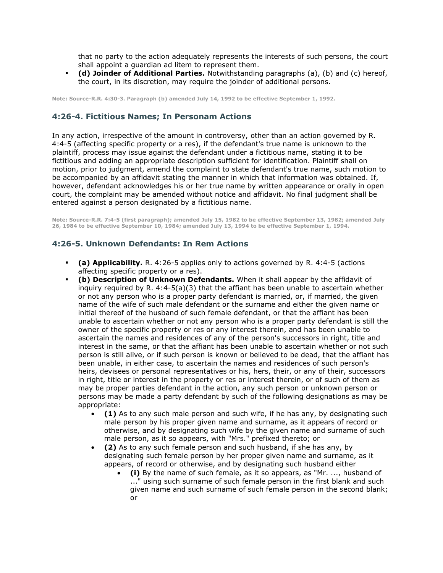that no party to the action adequately represents the interests of such persons, the court shall appoint a guardian ad litem to represent them.

 **(d) Joinder of Additional Parties.** Notwithstanding paragraphs (a), (b) and (c) hereof, the court, in its discretion, may require the joinder of additional persons.

**Note: Source-R.R. 4:30-3. Paragraph (b) amended July 14, 1992 to be effective September 1, 1992.**

### **4:26-4. Fictitious Names; In Personam Actions**

In any action, irrespective of the amount in controversy, other than an action governed by R. 4:4-5 (affecting specific property or a res), if the defendant's true name is unknown to the plaintiff, process may issue against the defendant under a fictitious name, stating it to be fictitious and adding an appropriate description sufficient for identification. Plaintiff shall on motion, prior to judgment, amend the complaint to state defendant's true name, such motion to be accompanied by an affidavit stating the manner in which that information was obtained. If, however, defendant acknowledges his or her true name by written appearance or orally in open court, the complaint may be amended without notice and affidavit. No final judgment shall be entered against a person designated by a fictitious name.

**Note: Source-R.R. 7:4-5 (first paragraph); amended July 15, 1982 to be effective September 13, 1982; amended July 26, 1984 to be effective September 10, 1984; amended July 13, 1994 to be effective September 1, 1994.**

### **4:26-5. Unknown Defendants: In Rem Actions**

- **(a) Applicability.** R. 4:26-5 applies only to actions governed by R. 4:4-5 (actions affecting specific property or a res).
- **(b) Description of Unknown Defendants.** When it shall appear by the affidavit of inguiry required by R.  $4:4-5(a)(3)$  that the affiant has been unable to ascertain whether or not any person who is a proper party defendant is married, or, if married, the given name of the wife of such male defendant or the surname and either the given name or initial thereof of the husband of such female defendant, or that the affiant has been unable to ascertain whether or not any person who is a proper party defendant is still the owner of the specific property or res or any interest therein, and has been unable to ascertain the names and residences of any of the person's successors in right, title and interest in the same, or that the affiant has been unable to ascertain whether or not such person is still alive, or if such person is known or believed to be dead, that the affiant has been unable, in either case, to ascertain the names and residences of such person's heirs, devisees or personal representatives or his, hers, their, or any of their, successors in right, title or interest in the property or res or interest therein, or of such of them as may be proper parties defendant in the action, any such person or unknown person or persons may be made a party defendant by such of the following designations as may be appropriate:
	- **(1)** As to any such male person and such wife, if he has any, by designating such male person by his proper given name and surname, as it appears of record or otherwise, and by designating such wife by the given name and surname of such male person, as it so appears, with "Mrs." prefixed thereto; or
	- **(2)** As to any such female person and such husband, if she has any, by designating such female person by her proper given name and surname, as it appears, of record or otherwise, and by designating such husband either
		- **(i)** By the name of such female, as it so appears, as "Mr. ..., husband of ..." using such surname of such female person in the first blank and such given name and such surname of such female person in the second blank; or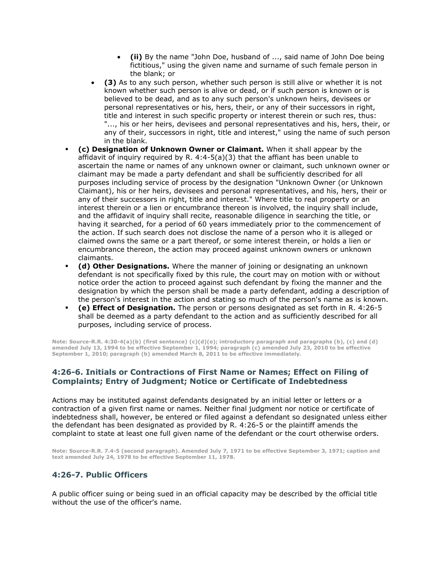- **(ii)** By the name "John Doe, husband of ..., said name of John Doe being fictitious," using the given name and surname of such female person in the blank; or
- **(3)** As to any such person, whether such person is still alive or whether it is not known whether such person is alive or dead, or if such person is known or is believed to be dead, and as to any such person's unknown heirs, devisees or personal representatives or his, hers, their, or any of their successors in right, title and interest in such specific property or interest therein or such res, thus: "..., his or her heirs, devisees and personal representatives and his, hers, their, or any of their, successors in right, title and interest," using the name of such person in the blank.
- **(c) Designation of Unknown Owner or Claimant.** When it shall appear by the affidavit of inquiry required by R.  $4:4-5(a)(3)$  that the affiant has been unable to ascertain the name or names of any unknown owner or claimant, such unknown owner or claimant may be made a party defendant and shall be sufficiently described for all purposes including service of process by the designation "Unknown Owner (or Unknown Claimant), his or her heirs, devisees and personal representatives, and his, hers, their or any of their successors in right, title and interest." Where title to real property or an interest therein or a lien or encumbrance thereon is involved, the inquiry shall include, and the affidavit of inquiry shall recite, reasonable diligence in searching the title, or having it searched, for a period of 60 years immediately prior to the commencement of the action. If such search does not disclose the name of a person who it is alleged or claimed owns the same or a part thereof, or some interest therein, or holds a lien or encumbrance thereon, the action may proceed against unknown owners or unknown claimants.
- **(d) Other Designations.** Where the manner of joining or designating an unknown defendant is not specifically fixed by this rule, the court may on motion with or without notice order the action to proceed against such defendant by fixing the manner and the designation by which the person shall be made a party defendant, adding a description of the person's interest in the action and stating so much of the person's name as is known.
- **(e) Effect of Designation.** The person or persons designated as set forth in R. 4:26-5 shall be deemed as a party defendant to the action and as sufficiently described for all purposes, including service of process.

**Note: Source-R.R. 4:30-4(a)(b) (first sentence) (c)(d)(e); introductory paragraph and paragraphs (b), (c) and (d) amended July 13, 1994 to be effective September 1, 1994; paragraph (c) amended July 23, 2010 to be effective September 1, 2010; paragraph (b) amended March 8, 2011 to be effective immediately.**

### **4:26-6. Initials or Contractions of First Name or Names; Effect on Filing of Complaints; Entry of Judgment; Notice or Certificate of Indebtedness**

Actions may be instituted against defendants designated by an initial letter or letters or a contraction of a given first name or names. Neither final judgment nor notice or certificate of indebtedness shall, however, be entered or filed against a defendant so designated unless either the defendant has been designated as provided by R. 4:26-5 or the plaintiff amends the complaint to state at least one full given name of the defendant or the court otherwise orders.

**Note: Source-R.R. 7.4-5 (second paragraph). Amended July 7, 1971 to be effective September 3, 1971; caption and text amended July 24, 1978 to be effective September 11, 1978.**

## **4:26-7. Public Officers**

A public officer suing or being sued in an official capacity may be described by the official title without the use of the officer's name.